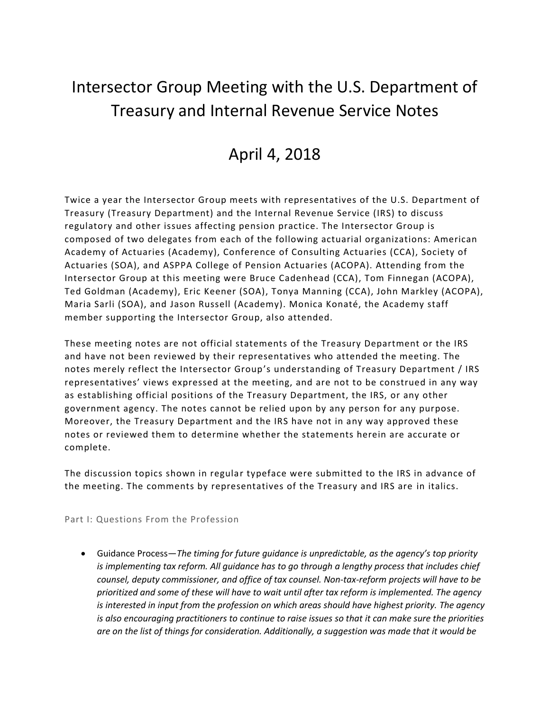## Intersector Group Meeting with the U.S. Department of Treasury and Internal Revenue Service Notes

## April 4, 2018

Twice a year the Intersector Group meets with representatives of the U.S. Department of Treasury (Treasury Department) and the Internal Revenue Service (IRS) to discuss regulatory and other issues affecting pension practice. The Intersector Group is composed of two delegates from each of the following actuarial organizations: American Academy of Actuaries (Academy), Conference of Consulting Actuaries (CCA), Society of Actuaries (SOA), and ASPPA College of Pension Actuaries (ACOPA). Attending from the Intersector Group at this meeting were Bruce Cadenhead (CCA), Tom Finnegan (ACOPA), Ted Goldman (Academy), Eric Keener (SOA), Tonya Manning (CCA), John Markley (ACOPA), Maria Sarli (SOA), and Jason Russell (Academy). Monica Konaté, the Academy staff member supporting the Intersector Group, also attended.

These meeting notes are not official statements of the Treasury Department or the IRS and have not been reviewed by their representatives who attended the meeting. The notes merely reflect the Intersector Group's understanding of Treasury Department / IRS representatives' views expressed at the meeting, and are not to be construed in any way as establishing official positions of the Treasury Department, the IRS, or any other government agency. The notes cannot be relied upon by any person for any purpose. Moreover, the Treasury Department and the IRS have not in any way approved these notes or reviewed them to determine whether the statements herein are accurate or complete.

The discussion topics shown in regular typeface were submitted to the IRS in advance of the meeting. The comments by representatives of the Treasury and IRS are in italics.

Part I: Questions From the Profession

• Guidance Process—*The timing for future guidance is unpredictable, as the agency's top priority is implementing tax reform. All guidance has to go through a lengthy process that includes chief counsel, deputy commissioner, and office of tax counsel. Non-tax-reform projects will have to be prioritized and some of these will have to wait until after tax reform is implemented. The agency is interested in input from the profession on which areas should have highest priority. The agency is also encouraging practitioners to continue to raise issues so that it can make sure the priorities are on the list of things for consideration. Additionally, a suggestion was made that it would be*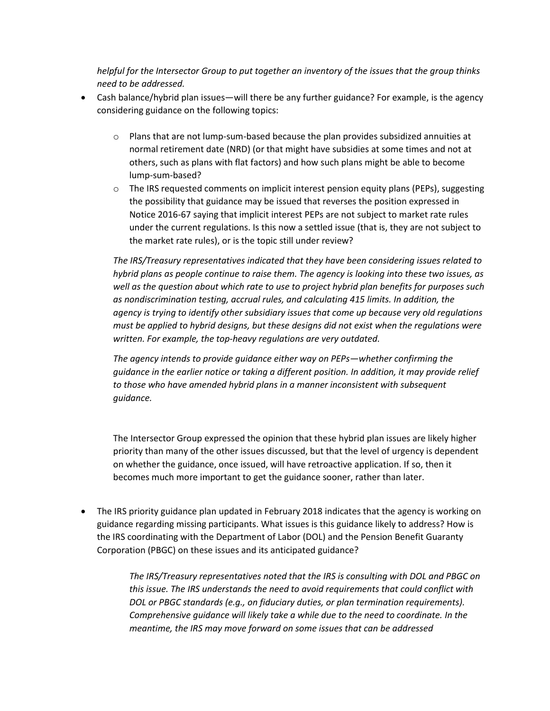*helpful for the Intersector Group to put together an inventory of the issues that the group thinks need to be addressed.*

- Cash balance/hybrid plan issues—will there be any further guidance? For example, is the agency considering guidance on the following topics:
	- $\circ$  Plans that are not lump-sum-based because the plan provides subsidized annuities at normal retirement date (NRD) (or that might have subsidies at some times and not at others, such as plans with flat factors) and how such plans might be able to become lump-sum-based?
	- $\circ$  The IRS requested comments on implicit interest pension equity plans (PEPs), suggesting the possibility that guidance may be issued that reverses the position expressed in Notice 2016-67 saying that implicit interest PEPs are not subject to market rate rules under the current regulations. Is this now a settled issue (that is, they are not subject to the market rate rules), or is the topic still under review?

*The IRS/Treasury representatives indicated that they have been considering issues related to hybrid plans as people continue to raise them. The agency is looking into these two issues, as well as the question about which rate to use to project hybrid plan benefits for purposes such as nondiscrimination testing, accrual rules, and calculating 415 limits. In addition, the agency is trying to identify other subsidiary issues that come up because very old regulations must be applied to hybrid designs, but these designs did not exist when the regulations were written. For example, the top-heavy regulations are very outdated.*

*The agency intends to provide guidance either way on PEPs—whether confirming the guidance in the earlier notice or taking a different position. In addition, it may provide relief to those who have amended hybrid plans in a manner inconsistent with subsequent guidance.*

The Intersector Group expressed the opinion that these hybrid plan issues are likely higher priority than many of the other issues discussed, but that the level of urgency is dependent on whether the guidance, once issued, will have retroactive application. If so, then it becomes much more important to get the guidance sooner, rather than later.

• The IRS priority guidance plan updated in February 2018 indicates that the agency is working on guidance regarding missing participants. What issues is this guidance likely to address? How is the IRS coordinating with the Department of Labor (DOL) and the Pension Benefit Guaranty Corporation (PBGC) on these issues and its anticipated guidance?

> *The IRS/Treasury representatives noted that the IRS is consulting with DOL and PBGC on this issue. The IRS understands the need to avoid requirements that could conflict with DOL or PBGC standards (e.g., on fiduciary duties, or plan termination requirements). Comprehensive guidance will likely take a while due to the need to coordinate. In the meantime, the IRS may move forward on some issues that can be addressed*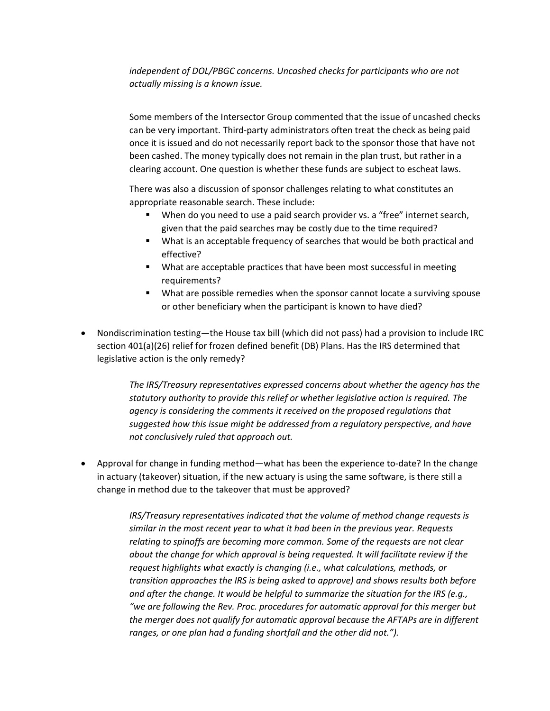*independent of DOL/PBGC concerns. Uncashed checks for participants who are not actually missing is a known issue.*

Some members of the Intersector Group commented that the issue of uncashed checks can be very important. Third-party administrators often treat the check as being paid once it is issued and do not necessarily report back to the sponsor those that have not been cashed. The money typically does not remain in the plan trust, but rather in a clearing account. One question is whether these funds are subject to escheat laws.

There was also a discussion of sponsor challenges relating to what constitutes an appropriate reasonable search. These include:

- When do you need to use a paid search provider vs. a "free" internet search, given that the paid searches may be costly due to the time required?
- What is an acceptable frequency of searches that would be both practical and effective?
- What are acceptable practices that have been most successful in meeting requirements?
- What are possible remedies when the sponsor cannot locate a surviving spouse or other beneficiary when the participant is known to have died?
- Nondiscrimination testing—the House tax bill (which did not pass) had a provision to include IRC section 401(a)(26) relief for frozen defined benefit (DB) Plans. Has the IRS determined that legislative action is the only remedy?

*The IRS/Treasury representatives expressed concerns about whether the agency has the statutory authority to provide this relief or whether legislative action is required. The agency is considering the comments it received on the proposed regulations that suggested how this issue might be addressed from a regulatory perspective, and have not conclusively ruled that approach out.*

• Approval for change in funding method—what has been the experience to-date? In the change in actuary (takeover) situation, if the new actuary is using the same software, is there still a change in method due to the takeover that must be approved?

> *IRS/Treasury representatives indicated that the volume of method change requests is similar in the most recent year to what it had been in the previous year. Requests relating to spinoffs are becoming more common. Some of the requests are not clear about the change for which approval is being requested. It will facilitate review if the request highlights what exactly is changing (i.e., what calculations, methods, or transition approaches the IRS is being asked to approve) and shows results both before and after the change. It would be helpful to summarize the situation for the IRS (e.g., "we are following the Rev. Proc. procedures for automatic approval for this merger but the merger does not qualify for automatic approval because the AFTAPs are in different ranges, or one plan had a funding shortfall and the other did not.").*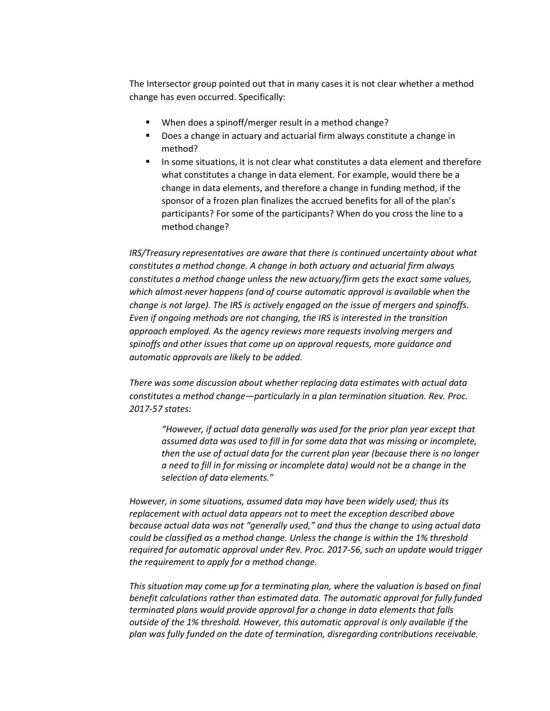The Intersector group pointed out that in many cases it is not clear whether a method change has even occurred. Specifically:

- When does a spinoff/merger result in a method change?
- Does a change in actuary and actuarial firm always constitute a change in method?
- In some situations, it is not clear what constitutes a data element and therefore what constitutes a change in data element. For example, would there be a change in data elements, and therefore a change in funding method, if the sponsor of a frozen plan finalizes the accrued benefits for all of the plan's participants? For some of the participants? When do you cross the line to a method change?

*IRS/Treasury representatives are aware that there is continued uncertainty about what constitutes a method change. A change in both actuary and actuarial firm always constitutes a method change unless the new actuary/firm gets the exact same values, which almost never happens (and of course automatic approval is available when the change is not large). The IRS is actively engaged on the issue of mergers and spinoffs. Even if ongoing methods are not changing, the IRS is interested in the transition approach employed. As the agency reviews more requests involving mergers and spinoffs and other issues that come up on approval requests, more guidance and automatic approvals are likely to be added.*

*There was some discussion about whether replacing data estimates with actual data constitutes a method change—particularly in a plan termination situation. Rev. Proc. 2017-57 states:* 

*"However, if actual data generally was used for the prior plan year except that assumed data was used to fill in for some data that was missing or incomplete, then the use of actual data for the current plan year (because there is no longer a need to fill in for missing or incomplete data) would not be a change in the selection of data elements."*

*However, in some situations, assumed data may have been widely used; thus its replacement with actual data appears not to meet the exception described above because actual data was not "generally used," and thus the change to using actual data could be classified as a method change. Unless the change is within the 1% threshold required for automatic approval under Rev. Proc. 2017-56, such an update would trigger the requirement to apply for a method change.*

*This situation may come up for a terminating plan, where the valuation is based on final benefit calculations rather than estimated data. The automatic approval for fully funded terminated plans would provide approval for a change in data elements that falls outside of the 1% threshold. However, this automatic approval is only available if the plan was fully funded on the date of termination, disregarding contributions receivable.*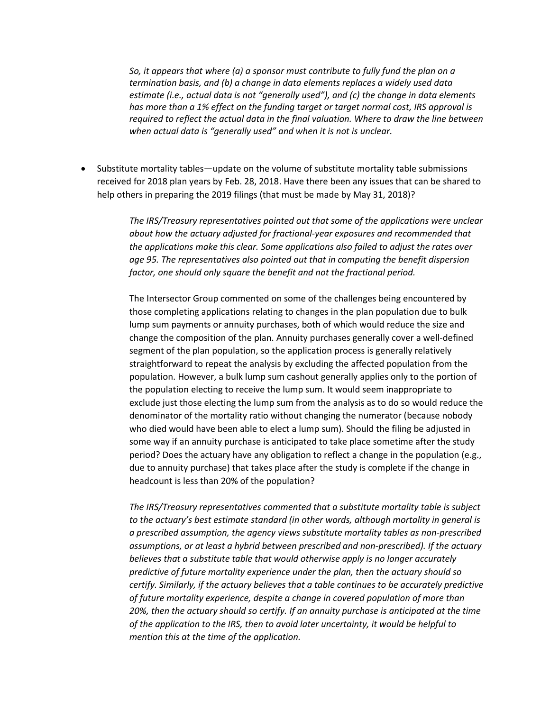*So, it appears that where (a) a sponsor must contribute to fully fund the plan on a termination basis, and (b) a change in data elements replaces a widely used data estimate (i.e., actual data is not "generally used"), and (c) the change in data elements has more than a 1% effect on the funding target or target normal cost, IRS approval is required to reflect the actual data in the final valuation. Where to draw the line between*  when actual data is "generally used" and when it is not is unclear.

• Substitute mortality tables—update on the volume of substitute mortality table submissions received for 2018 plan years by Feb. 28, 2018. Have there been any issues that can be shared to help others in preparing the 2019 filings (that must be made by May 31, 2018)?

> *The IRS/Treasury representatives pointed out that some of the applications were unclear about how the actuary adjusted for fractional-year exposures and recommended that the applications make this clear. Some applications also failed to adjust the rates over age 95. The representatives also pointed out that in computing the benefit dispersion factor, one should only square the benefit and not the fractional period.*

> The Intersector Group commented on some of the challenges being encountered by those completing applications relating to changes in the plan population due to bulk lump sum payments or annuity purchases, both of which would reduce the size and change the composition of the plan. Annuity purchases generally cover a well-defined segment of the plan population, so the application process is generally relatively straightforward to repeat the analysis by excluding the affected population from the population. However, a bulk lump sum cashout generally applies only to the portion of the population electing to receive the lump sum. It would seem inappropriate to exclude just those electing the lump sum from the analysis as to do so would reduce the denominator of the mortality ratio without changing the numerator (because nobody who died would have been able to elect a lump sum). Should the filing be adjusted in some way if an annuity purchase is anticipated to take place sometime after the study period? Does the actuary have any obligation to reflect a change in the population (e.g., due to annuity purchase) that takes place after the study is complete if the change in headcount is less than 20% of the population?

> *The IRS/Treasury representatives commented that a substitute mortality table is subject to the actuary's best estimate standard (in other words, although mortality in general is a prescribed assumption, the agency views substitute mortality tables as non-prescribed assumptions, or at least a hybrid between prescribed and non-prescribed). If the actuary believes that a substitute table that would otherwise apply is no longer accurately predictive of future mortality experience under the plan, then the actuary should so certify. Similarly, if the actuary believes that a table continues to be accurately predictive of future mortality experience, despite a change in covered population of more than 20%, then the actuary should so certify. If an annuity purchase is anticipated at the time of the application to the IRS, then to avoid later uncertainty, it would be helpful to mention this at the time of the application.*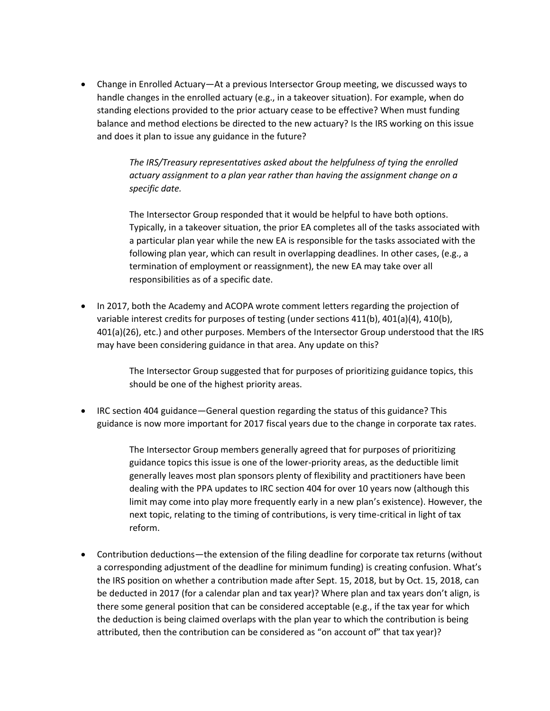• Change in Enrolled Actuary—At a previous Intersector Group meeting, we discussed ways to handle changes in the enrolled actuary (e.g., in a takeover situation). For example, when do standing elections provided to the prior actuary cease to be effective? When must funding balance and method elections be directed to the new actuary? Is the IRS working on this issue and does it plan to issue any guidance in the future?

> *The IRS/Treasury representatives asked about the helpfulness of tying the enrolled actuary assignment to a plan year rather than having the assignment change on a specific date.*

The Intersector Group responded that it would be helpful to have both options. Typically, in a takeover situation, the prior EA completes all of the tasks associated with a particular plan year while the new EA is responsible for the tasks associated with the following plan year, which can result in overlapping deadlines. In other cases, (e.g., a termination of employment or reassignment), the new EA may take over all responsibilities as of a specific date.

• In 2017, both the Academy and ACOPA wrote comment letters regarding the projection of variable interest credits for purposes of testing (under sections 411(b), 401(a)(4), 410(b), 401(a)(26), etc.) and other purposes. Members of the Intersector Group understood that the IRS may have been considering guidance in that area. Any update on this?

> The Intersector Group suggested that for purposes of prioritizing guidance topics, this should be one of the highest priority areas.

• IRC section 404 guidance—General question regarding the status of this guidance? This guidance is now more important for 2017 fiscal years due to the change in corporate tax rates.

> The Intersector Group members generally agreed that for purposes of prioritizing guidance topics this issue is one of the lower-priority areas, as the deductible limit generally leaves most plan sponsors plenty of flexibility and practitioners have been dealing with the PPA updates to IRC section 404 for over 10 years now (although this limit may come into play more frequently early in a new plan's existence). However, the next topic, relating to the timing of contributions, is very time-critical in light of tax reform.

• Contribution deductions—the extension of the filing deadline for corporate tax returns (without a corresponding adjustment of the deadline for minimum funding) is creating confusion. What's the IRS position on whether a contribution made after Sept. 15, 2018, but by Oct. 15, 2018, can be deducted in 2017 (for a calendar plan and tax year)? Where plan and tax years don't align, is there some general position that can be considered acceptable (e.g., if the tax year for which the deduction is being claimed overlaps with the plan year to which the contribution is being attributed, then the contribution can be considered as "on account of" that tax year)?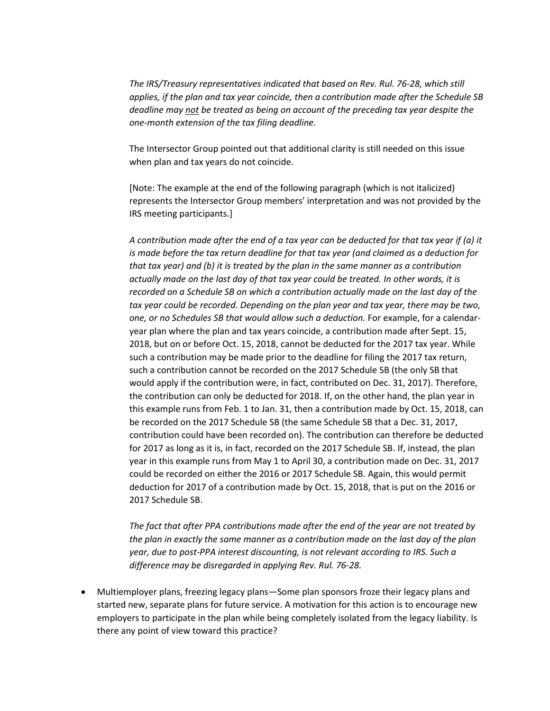*The IRS/Treasury representatives indicated that based on Rev. Rul. 76-28, which still applies, if the plan and tax year coincide, then a contribution made after the Schedule SB deadline may not be treated as being on account of the preceding tax year despite the one-month extension of the tax filing deadline.*

The Intersector Group pointed out that additional clarity is still needed on this issue when plan and tax years do not coincide.

[Note: The example at the end of the following paragraph (which is not italicized) represents the Intersector Group members' interpretation and was not provided by the IRS meeting participants.]

*A contribution made after the end of a tax year can be deducted for that tax year if (a) it is made before the tax return deadline for that tax year (and claimed as a deduction for that tax year) and (b) it is treated by the plan in the same manner as a contribution actually made on the last day of that tax year could be treated. In other words, it is recorded on a Schedule SB on which a contribution actually made on the last day of the tax year could be recorded. Depending on the plan year and tax year, there may be two, one, or no Schedules SB that would allow such a deduction.* For example, for a calendaryear plan where the plan and tax years coincide, a contribution made after Sept. 15, 2018, but on or before Oct. 15, 2018, cannot be deducted for the 2017 tax year. While such a contribution may be made prior to the deadline for filing the 2017 tax return, such a contribution cannot be recorded on the 2017 Schedule SB (the only SB that would apply if the contribution were, in fact, contributed on Dec. 31, 2017). Therefore, the contribution can only be deducted for 2018. If, on the other hand, the plan year in this example runs from Feb. 1 to Jan. 31, then a contribution made by Oct. 15, 2018, can be recorded on the 2017 Schedule SB (the same Schedule SB that a Dec. 31, 2017, contribution could have been recorded on). The contribution can therefore be deducted for 2017 as long as it is, in fact, recorded on the 2017 Schedule SB. If, instead, the plan year in this example runs from May 1 to April 30, a contribution made on Dec. 31, 2017 could be recorded on either the 2016 or 2017 Schedule SB. Again, this would permit deduction for 2017 of a contribution made by Oct. 15, 2018, that is put on the 2016 or 2017 Schedule SB.

*The fact that after PPA contributions made after the end of the year are not treated by the plan in exactly the same manner as a contribution made on the last day of the plan year, due to post-PPA interest discounting, is not relevant according to IRS. Such a difference may be disregarded in applying Rev. Rul. 76-28.*

• Multiemployer plans, freezing legacy plans—Some plan sponsors froze their legacy plans and started new, separate plans for future service. A motivation for this action is to encourage new employers to participate in the plan while being completely isolated from the legacy liability. Is there any point of view toward this practice?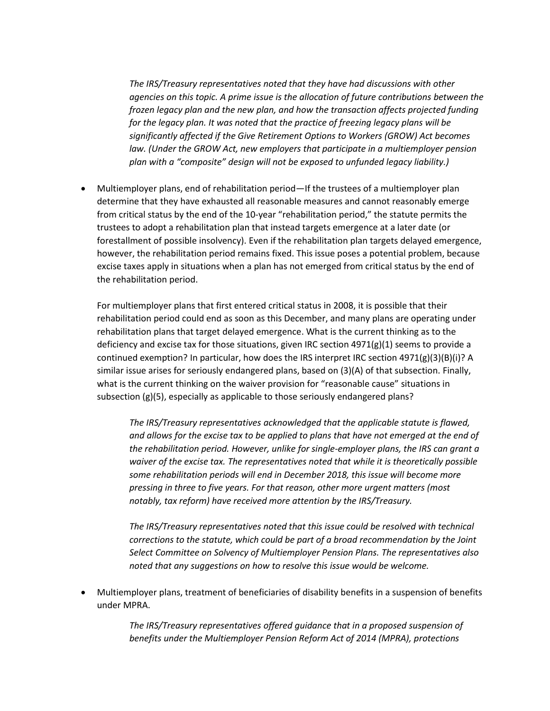*The IRS/Treasury representatives noted that they have had discussions with other agencies on this topic. A prime issue is the allocation of future contributions between the frozen legacy plan and the new plan, and how the transaction affects projected funding for the legacy plan. It was noted that the practice of freezing legacy plans will be significantly affected if the Give Retirement Options to Workers (GROW) Act becomes law. (Under the GROW Act, new employers that participate in a multiemployer pension plan with a "composite" design will not be exposed to unfunded legacy liability.)* 

• Multiemployer plans, end of rehabilitation period—If the trustees of a multiemployer plan determine that they have exhausted all reasonable measures and cannot reasonably emerge from critical status by the end of the 10-year "rehabilitation period," the statute permits the trustees to adopt a rehabilitation plan that instead targets emergence at a later date (or forestallment of possible insolvency). Even if the rehabilitation plan targets delayed emergence, however, the rehabilitation period remains fixed. This issue poses a potential problem, because excise taxes apply in situations when a plan has not emerged from critical status by the end of the rehabilitation period.

For multiemployer plans that first entered critical status in 2008, it is possible that their rehabilitation period could end as soon as this December, and many plans are operating under rehabilitation plans that target delayed emergence. What is the current thinking as to the deficiency and excise tax for those situations, given IRC section  $4971(g)(1)$  seems to provide a continued exemption? In particular, how does the IRS interpret IRC section  $4971(g)(3)(B)(i)$ ? A similar issue arises for seriously endangered plans, based on (3)(A) of that subsection. Finally, what is the current thinking on the waiver provision for "reasonable cause" situations in subsection (g)(5), especially as applicable to those seriously endangered plans?

*The IRS/Treasury representatives acknowledged that the applicable statute is flawed, and allows for the excise tax to be applied to plans that have not emerged at the end of the rehabilitation period. However, unlike for single-employer plans, the IRS can grant a waiver of the excise tax. The representatives noted that while it is theoretically possible some rehabilitation periods will end in December 2018, this issue will become more pressing in three to five years. For that reason, other more urgent matters (most notably, tax reform) have received more attention by the IRS/Treasury.*

*The IRS/Treasury representatives noted that this issue could be resolved with technical corrections to the statute, which could be part of a broad recommendation by the Joint Select Committee on Solvency of Multiemployer Pension Plans. The representatives also noted that any suggestions on how to resolve this issue would be welcome.*

• Multiemployer plans, treatment of beneficiaries of disability benefits in a suspension of benefits under MPRA.

> *The IRS/Treasury representatives offered guidance that in a proposed suspension of benefits under the Multiemployer Pension Reform Act of 2014 (MPRA), protections*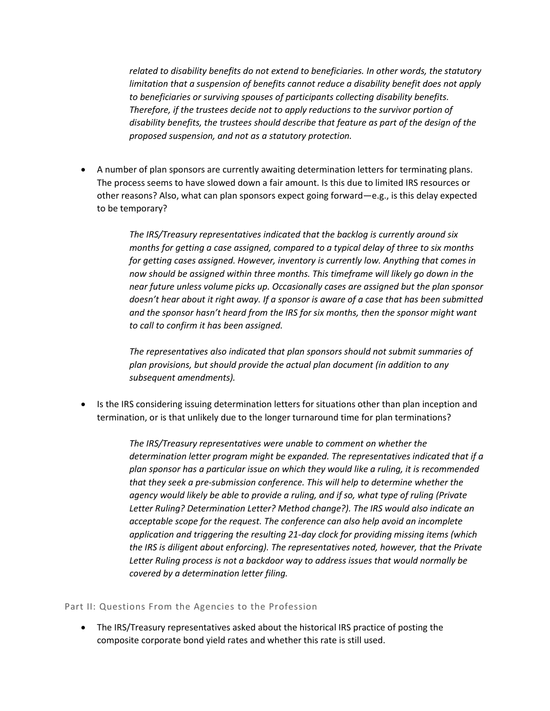*related to disability benefits do not extend to beneficiaries. In other words, the statutory limitation that a suspension of benefits cannot reduce a disability benefit does not apply to beneficiaries or surviving spouses of participants collecting disability benefits. Therefore, if the trustees decide not to apply reductions to the survivor portion of disability benefits, the trustees should describe that feature as part of the design of the proposed suspension, and not as a statutory protection.*

• A number of plan sponsors are currently awaiting determination letters for terminating plans. The process seems to have slowed down a fair amount. Is this due to limited IRS resources or other reasons? Also, what can plan sponsors expect going forward—e.g., is this delay expected to be temporary?

> *The IRS/Treasury representatives indicated that the backlog is currently around six months for getting a case assigned, compared to a typical delay of three to six months for getting cases assigned. However, inventory is currently low. Anything that comes in now should be assigned within three months. This timeframe will likely go down in the near future unless volume picks up. Occasionally cases are assigned but the plan sponsor doesn't hear about it right away. If a sponsor is aware of a case that has been submitted and the sponsor hasn't heard from the IRS for six months, then the sponsor might want to call to confirm it has been assigned.*

*The representatives also indicated that plan sponsors should not submit summaries of plan provisions, but should provide the actual plan document (in addition to any subsequent amendments).*

• Is the IRS considering issuing determination letters for situations other than plan inception and termination, or is that unlikely due to the longer turnaround time for plan terminations?

> *The IRS/Treasury representatives were unable to comment on whether the determination letter program might be expanded. The representatives indicated that if a plan sponsor has a particular issue on which they would like a ruling, it is recommended that they seek a pre-submission conference. This will help to determine whether the agency would likely be able to provide a ruling, and if so, what type of ruling (Private Letter Ruling? Determination Letter? Method change?). The IRS would also indicate an acceptable scope for the request. The conference can also help avoid an incomplete application and triggering the resulting 21-day clock for providing missing items (which the IRS is diligent about enforcing). The representatives noted, however, that the Private Letter Ruling process is not a backdoor way to address issues that would normally be covered by a determination letter filing.*

## Part II: Questions From the Agencies to the Profession

• The IRS/Treasury representatives asked about the historical IRS practice of posting the composite corporate bond yield rates and whether this rate is still used.